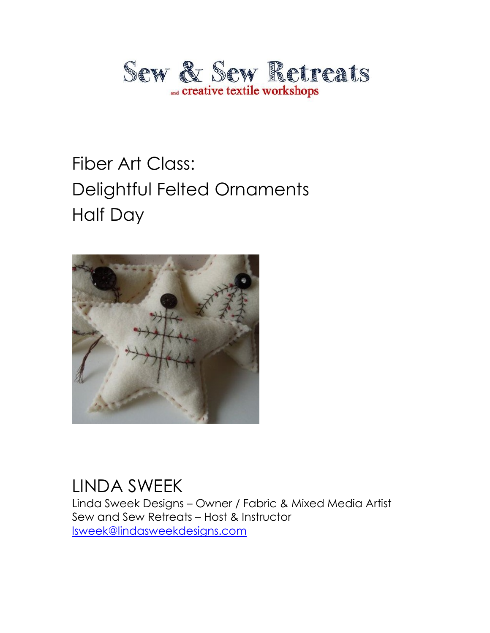

# Fiber Art Class: Delightful Felted Ornaments Half Day



#### LINDA SWEEK

Linda Sweek Designs – Owner / Fabric & Mixed Media Artist Sew and Sew Retreats – Host & Instructor [lsweek@lindasweekdesigns.com](mailto:lsweek@lindasweekdesigns.com)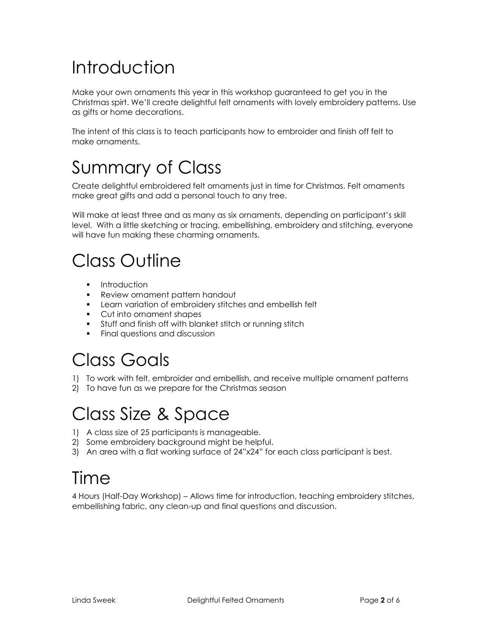## Introduction

Make your own ornaments this year in this workshop guaranteed to get you in the Christmas spirt. We'll create delightful felt ornaments with lovely embroidery patterns. Use as gifts or home decorations.

The intent of this class is to teach participants how to embroider and finish off felt to make ornaments.

### Summary of Class

Create delightful embroidered felt ornaments just in time for Christmas. Felt ornaments make great gifts and add a personal touch to any tree.

Will make at least three and as many as six ornaments, depending on participant's skill level. With a little sketching or tracing, embellishing, embroidery and stitching, everyone will have fun making these charming ornaments.

### Class Outline

- **Introduction**
- **Review ornament pattern handout**
- **EXECT** Learn variation of embroidery stitches and embellish felt
- Cut into ornament shapes
- Stuff and finish off with blanket stitch or running stitch
- **Final questions and discussion**

### Class Goals

- 1) To work with felt, embroider and embellish, and receive multiple ornament patterns
- 2) To have fun as we prepare for the Christmas season

#### Class Size & Space

- 1) A class size of 25 participants is manageable.
- 2) Some embroidery background might be helpful.
- 3) An area with a flat working surface of 24"x24" for each class participant is best.

#### Time

4 Hours (Half-Day Workshop) – Allows time for introduction, teaching embroidery stitches, embellishing fabric, any clean-up and final questions and discussion.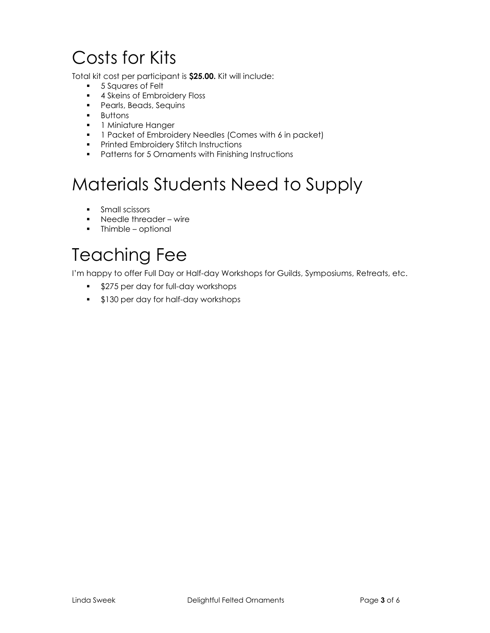## Costs for Kits

Total kit cost per participant is **\$25.00.** Kit will include:

- **5 Squares of Felt**
- **4 Skeins of Embroidery Floss**
- **Pearls, Beads, Sequins**
- **Buttons**
- **1** Miniature Hanger
- **1** Packet of Embroidery Needles (Comes with 6 in packet)
- **•** Printed Embroidery Stitch Instructions
- **•** Patterns for 5 Ornaments with Finishing Instructions

### Materials Students Need to Supply

- **Small scissors**
- Needle threader wire
- **-** Thimble optional

### Teaching Fee

I'm happy to offer Full Day or Half-day Workshops for Guilds, Symposiums, Retreats, etc.

- **S275 per day for full-day workshops**
- **5130 per day for half-day workshops**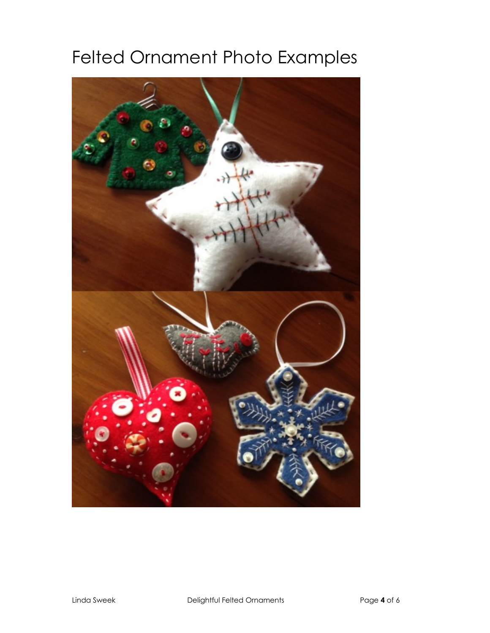## Felted Ornament Photo Examples

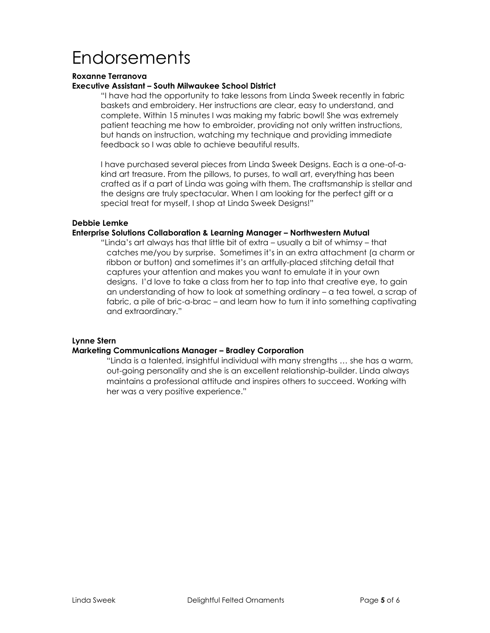## Endorsements

#### **Roxanne Terranova**

#### **Executive Assistant – South Milwaukee School District**

"I have had the opportunity to take lessons from Linda Sweek recently in fabric baskets and embroidery. Her instructions are clear, easy to understand, and complete. Within 15 minutes I was making my fabric bowl! She was extremely patient teaching me how to embroider, providing not only written instructions, but hands on instruction, watching my technique and providing immediate feedback so I was able to achieve beautiful results.

I have purchased several pieces from Linda Sweek Designs. Each is a one-of-akind art treasure. From the pillows, to purses, to wall art, everything has been crafted as if a part of Linda was going with them. The craftsmanship is stellar and the designs are truly spectacular. When I am looking for the perfect gift or a special treat for myself, I shop at Linda Sweek Designs!"

#### **Debbie Lemke**

#### **Enterprise Solutions Collaboration & Learning Manager – Northwestern Mutual**

"Linda's art always has that little bit of extra – usually a bit of whimsy – that catches me/you by surprise. Sometimes it's in an extra attachment (a charm or ribbon or button) and sometimes it's an artfully-placed stitching detail that captures your attention and makes you want to emulate it in your own designs. I'd love to take a class from her to tap into that creative eye, to gain an understanding of how to look at something ordinary – a tea towel, a scrap of fabric, a pile of bric-a-brac – and learn how to turn it into something captivating and extraordinary."

#### **Lynne Stern**

#### **Marketing Communications Manager – Bradley Corporation**

"Linda is a talented, insightful individual with many strengths … she has a warm, out-going personality and she is an excellent relationship-builder. Linda always maintains a professional attitude and inspires others to succeed. Working with her was a very positive experience."